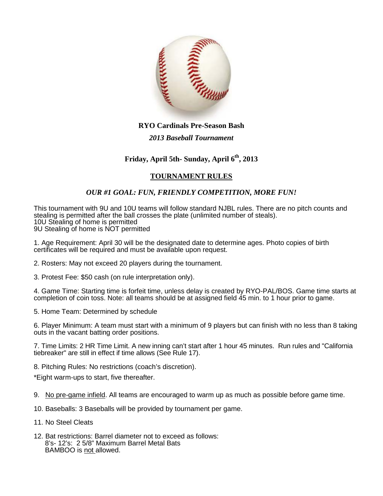

## **RYO Cardinals Pre-Season Bash**

#### *2013 Baseball Tournament*

# **Friday, April 5th- Sunday, April 6th, 2013**

# **TOURNAMENT RULES**

## *OUR #1 GOAL: FUN, FRIENDLY COMPETITION, MORE FUN!*

This tournament with 9U and 10U teams will follow standard NJBL rules. There are no pitch counts and stealing is permitted after the ball crosses the plate (unlimited number of steals). 10U Stealing of home is permitted 9U Stealing of home is NOT permitted

1. Age Requirement: April 30 will be the designated date to determine ages. Photo copies of birth certificates will be required and must be available upon request.

- 2. Rosters: May not exceed 20 players during the tournament.
- 3. Protest Fee: \$50 cash (on rule interpretation only).

4. Game Time: Starting time is forfeit time, unless delay is created by RYO-PAL/BOS. Game time starts at completion of coin toss. Note: all teams should be at assigned field 45 min. to 1 hour prior to game.

5. Home Team: Determined by schedule

6. Player Minimum: A team must start with a minimum of 9 players but can finish with no less than 8 taking outs in the vacant batting order positions.

7. Time Limits: 2 HR Time Limit. A new inning can't start after 1 hour 45 minutes. Run rules and "California tiebreaker" are still in effect if time allows (See Rule 17).

8. Pitching Rules: No restrictions (coach's discretion).

\*Eight warm-ups to start, five thereafter.

- 9. No pre-game infield. All teams are encouraged to warm up as much as possible before game time.
- 10. Baseballs: 3 Baseballs will be provided by tournament per game.
- 11. No Steel Cleats
- 12. Bat restrictions: Barrel diameter not to exceed as follows: 8's- 12's: 2 5/8" Maximum Barrel Metal Bats BAMBOO is not allowed.